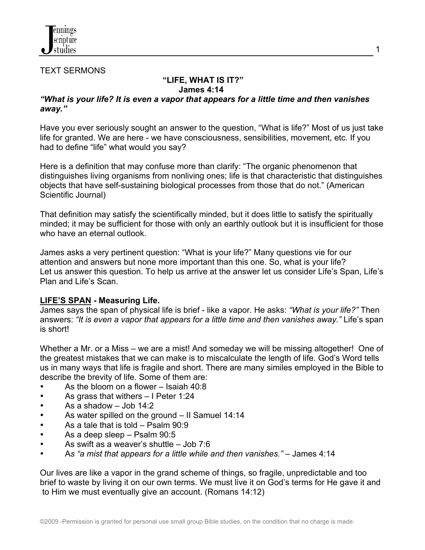

#### TEXT SERMONS

# **"LIFE, WHAT IS IT?" James 4:14**

### *"What is your life? It is even a vapor that appears for a little time and then vanishes away."*

Have you ever seriously sought an answer to the question, "What is life?" Most of us just take life for granted. We are here - we have consciousness, sensibilities, movement, etc. If you had to define "life" what would you say?

Here is a definition that may confuse more than clarify: "The organic phenomenon that distinguishes living organisms from nonliving ones; life is that characteristic that distinguishes objects that have self-sustaining biological processes from those that do not." (American Scientific Journal)

That definition may satisfy the scientifically minded, but it does little to satisfy the spiritually minded; it may be sufficient for those with only an earthly outlook but it is insufficient for those who have an eternal outlook.

James asks a very pertinent question: "What is your life?" Many questions vie for our attention and answers but none more important than this one. So, what is your life? Let us answer this question. To help us arrive at the answer let us consider Life's Span, Life's Plan and Life's Scan.

### **LIFE'S SPAN - Measuring Life.**

James says the span of physical life is brief - like a vapor. He asks: *"What is your life?"* Then answers: *"It is even a vapor that appears for a little time and then vanishes away."* Life's span is short!

Whether a Mr. or a Miss – we are a mist! And someday we will be missing altogether! One of the greatest mistakes that we can make is to miscalculate the length of life. God's Word tells us in many ways that life is fragile and short. There are many similes employed in the Bible to describe the brevity of life. Some of them are:

- As the bloom on a flower Isaiah 40:8
- As grass that withers I Peter 1:24
- As a shadow Job 14:2
- As water spilled on the ground II Samuel 14:14
- As a tale that is told Psalm 90:9
- As a deep sleep Psalm 90:5
- As swift as a weaver's shuttle Job 7:6
- A*s "a mist that appears for a little while and then vanishes."*  James 4:14

Our lives are like a vapor in the grand scheme of things, so fragile, unpredictable and too brief to waste by living it on our own terms. We must live it on God's terms for He gave it and to Him we must eventually give an account. (Romans 14:12)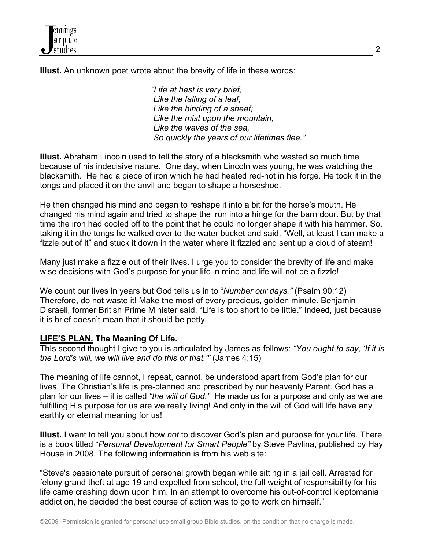**Illust.** An unknown poet wrote about the brevity of life in these words:

 *"Life at best is very brief, Like the falling of a leaf, Like the binding of a sheaf; Like the mist upon the mountain, Like the waves of the sea, So quickly the years of our lifetimes flee."*

**Illust.** Abraham Lincoln used to tell the story of a blacksmith who wasted so much time because of his indecisive nature. One day, when Lincoln was young, he was watching the blacksmith. He had a piece of iron which he had heated red-hot in his forge. He took it in the tongs and placed it on the anvil and began to shape a horseshoe.

He then changed his mind and began to reshape it into a bit for the horse's mouth. He changed his mind again and tried to shape the iron into a hinge for the barn door. But by that time the iron had cooled off to the point that he could no longer shape it with his hammer. So, taking it in the tongs he walked over to the water bucket and said, "Well, at least I can make a fizzle out of it" and stuck it down in the water where it fizzled and sent up a cloud of steam!

Many just make a fizzle out of their lives. I urge you to consider the brevity of life and make wise decisions with God's purpose for your life in mind and life will not be a fizzle!

We count our lives in years but God tells us in to "*Number our days."* (Psalm 90:12) Therefore, do not waste it! Make the most of every precious, golden minute. Benjamin Disraeli, former British Prime Minister said, "Life is too short to be little." Indeed, just because it is brief doesn't mean that it should be petty.

# **LIFE'S PLAN. The Meaning Of Life.**

ThIs second thought I give to you is articulated by James as follows: *"You ought to say, 'If it is the Lord's will, we will live and do this or that.'"* (James 4:15)

The meaning of life cannot, I repeat, cannot, be understood apart from God's plan for our lives. The Christian's life is pre-planned and prescribed by our heavenly Parent. God has a plan for our lives – it is called *"the will of God."* He made us for a purpose and only as we are fulfilling His purpose for us are we really living! And only in the will of God will life have any earthly or eternal meaning for us!

**Illust.** I want to tell you about how *not* to discover God's plan and purpose for your life. There is a book titled "*Personal Development for Smart People"* by Steve Pavlina, published by Hay House in 2008. The following information is from his web site:

"Steve's passionate pursuit of personal growth began while sitting in a jail cell. Arrested for felony grand theft at age 19 and expelled from school, the full weight of responsibility for his life came crashing down upon him. In an attempt to overcome his out-of-control kleptomania addiction, he decided the best course of action was to go to work on himself."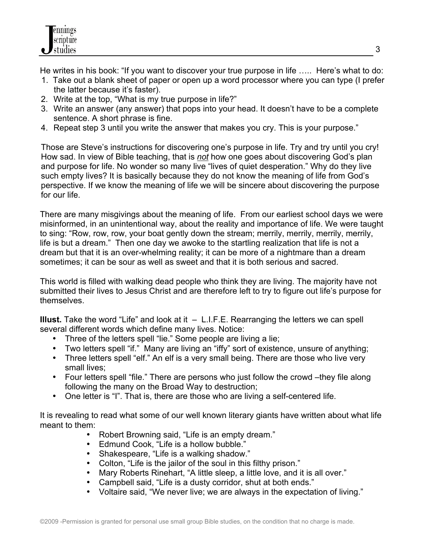He writes in his book: "If you want to discover your true purpose in life ….. Here's what to do:

- 1. Take out a blank sheet of paper or open up a word processor where you can type (I prefer the latter because it's faster).
- 2. Write at the top, "What is my true purpose in life?"
- 3. Write an answer (any answer) that pops into your head. It doesn't have to be a complete sentence. A short phrase is fine.
- 4. Repeat step 3 until you write the answer that makes you cry. This is your purpose."

Those are Steve's instructions for discovering one's purpose in life. Try and try until you cry! How sad. In view of Bible teaching, that is *not* how one goes about discovering God's plan and purpose for life. No wonder so many live "lives of quiet desperation." Why do they live such empty lives? It is basically because they do not know the meaning of life from God's perspective. If we know the meaning of life we will be sincere about discovering the purpose for our life.

There are many misgivings about the meaning of life. From our earliest school days we were misinformed, in an unintentional way, about the reality and importance of life. We were taught to sing: "Row, row, row, your boat gently down the stream; merrily, merrily, merrily, merrily, life is but a dream." Then one day we awoke to the startling realization that life is not a dream but that it is an over-whelming reality; it can be more of a nightmare than a dream sometimes; it can be sour as well as sweet and that it is both serious and sacred.

This world is filled with walking dead people who think they are living. The majority have not submitted their lives to Jesus Christ and are therefore left to try to figure out life's purpose for themselves.

**Illust.** Take the word "Life" and look at it – L.I.F.E. Rearranging the letters we can spell several different words which define many lives. Notice:

- Three of the letters spell "lie." Some people are living a lie;
- Two letters spell "if." Many are living an "iffy" sort of existence, unsure of anything;
- Three letters spell "elf." An elf is a very small being. There are those who live very small lives;
- Four letters spell "file." There are persons who just follow the crowd –they file along following the many on the Broad Way to destruction;
- One letter is "I". That is, there are those who are living a self-centered life.

It is revealing to read what some of our well known literary giants have written about what life meant to them:

- Robert Browning said, "Life is an empty dream."
- Edmund Cook, "Life is a hollow bubble."
- Shakespeare, "Life is a walking shadow."
- Colton, "Life is the jailor of the soul in this filthy prison."
- Mary Roberts Rinehart, "A little sleep, a little love, and it is all over."
- Campbell said, "Life is a dusty corridor, shut at both ends."
- Voltaire said, "We never live; we are always in the expectation of living."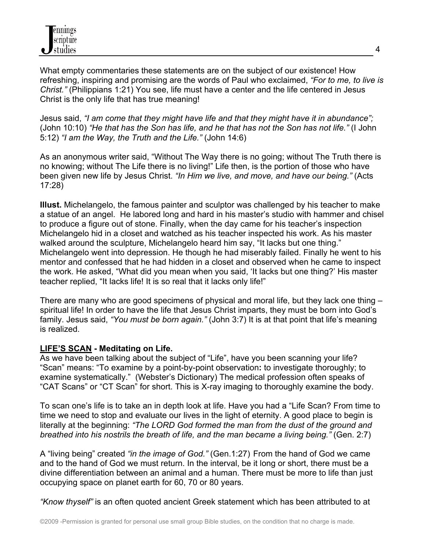What empty commentaries these statements are on the subject of our existence! How refreshing, inspiring and promising are the words of Paul who exclaimed, *"For to me, to live is Christ."* (Philippians 1:21) You see, life must have a center and the life centered in Jesus Christ is the only life that has true meaning!

Jesus said, *"I am come that they might have life and that they might have it in abundance";* (John 10:10) *"He that has the Son has life, and he that has not the Son has not life."* (I John 5:12) *"I am the Way, the Truth and the Life."* (John 14:6)

As an anonymous writer said, "Without The Way there is no going; without The Truth there is no knowing; without The Life there is no living!" Life then, is the portion of those who have been given new life by Jesus Christ. *"In Him we live, and move, and have our being."* (Acts 17:28)

**Illust.** Michelangelo, the famous painter and sculptor was challenged by his teacher to make a statue of an angel. He labored long and hard in his master's studio with hammer and chisel to produce a figure out of stone. Finally, when the day came for his teacher's inspection Michelangelo hid in a closet and watched as his teacher inspected his work. As his master walked around the sculpture, Michelangelo heard him say, "It lacks but one thing." Michelangelo went into depression. He though he had miserably failed. Finally he went to his mentor and confessed that he had hidden in a closet and observed when he came to inspect the work. He asked, "What did you mean when you said, 'It lacks but one thing?' His master teacher replied, "It lacks life! It is so real that it lacks only life!"

There are many who are good specimens of physical and moral life, but they lack one thing – spiritual life! In order to have the life that Jesus Christ imparts, they must be born into God's family. Jesus said, *"You must be born again."* (John 3:7) It is at that point that life's meaning is realized.

# **LIFE'S SCAN - Meditating on Life.**

As we have been talking about the subject of "Life", have you been scanning your life? "Scan" means: "To examine by a point-by-point observation**:** to investigate thoroughly; to examine systematically." (Webster's Dictionary) The medical profession often speaks of "CAT Scans" or "CT Scan" for short. This is X-ray imaging to thoroughly examine the body.

To scan one's life is to take an in depth look at life. Have you had a "Life Scan? From time to time we need to stop and evaluate our lives in the light of eternity. A good place to begin is literally at the beginning: *"The LORD God formed the man from the dust of the ground and breathed into his nostrils the breath of life, and the man became a living being."* (Gen. 2:7)

A "living being" created *"in the image of God."* (Gen.1:27) From the hand of God we came and to the hand of God we must return. In the interval, be it long or short, there must be a divine differentiation between an animal and a human. There must be more to life than just occupying space on planet earth for 60, 70 or 80 years.

*"Know thyself"* is an often quoted ancient Greek statement which has been attributed to at